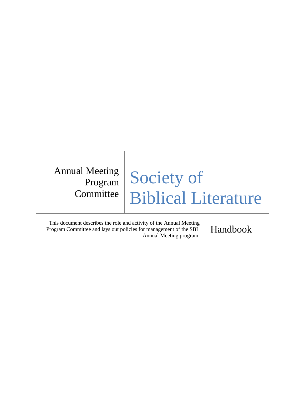Annual Meeting Program **Committee** 

# Society of Biblical Literature

This document describes the role and activity of the Annual Meeting Program Committee and lays out policies for management of the SBL Annual Meeting program.

Handbook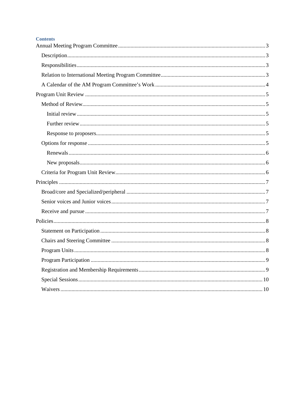#### **Contents**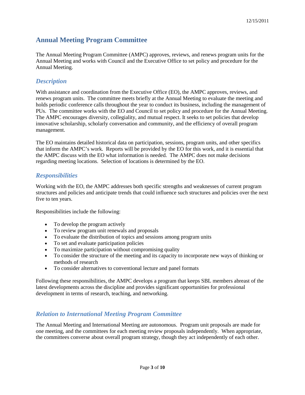## <span id="page-2-0"></span>**Annual Meeting Program Committee**

The Annual Meeting Program Committee (AMPC) approves, reviews, and renews program units for the Annual Meeting and works with Council and the Executive Office to set policy and procedure for the Annual Meeting.

#### <span id="page-2-1"></span>*Description*

With assistance and coordination from the Executive Office (EO), the AMPC approves, reviews, and renews program units. The committee meets briefly at the Annual Meeting to evaluate the meeting and holds periodic conference calls throughout the year to conduct its business, including the management of PUs. The committee works with the EO and Council to set policy and procedure for the Annual Meeting. The AMPC encourages diversity, collegiality, and mutual respect. It seeks to set policies that develop innovative scholarship, scholarly conversation and community, and the efficiency of overall program management.

The EO maintains detailed historical data on participation, sessions, program units, and other specifics that inform the AMPC's work. Reports will be provided by the EO for this work, and it is essential that the AMPC discuss with the EO what information is needed. The AMPC does not make decisions regarding meeting locations. Selection of locations is determined by the EO.

#### <span id="page-2-2"></span>*Responsibilities*

Working with the EO, the AMPC addresses both specific strengths and weaknesses of current program structures and policies and anticipate trends that could influence such structures and policies over the next five to ten years.

Responsibilities include the following:

- To develop the program actively
- To review program unit renewals and proposals
- To evaluate the distribution of topics and sessions among program units
- To set and evaluate participation policies
- To maximize participation without compromising quality
- To consider the structure of the meeting and its capacity to incorporate new ways of thinking or methods of research
- To consider alternatives to conventional lecture and panel formats

Following these responsibilities, the AMPC develops a program that keeps SBL members abreast of the latest developments across the discipline and provides significant opportunities for professional development in terms of research, teaching, and networking.

#### <span id="page-2-3"></span>*Relation to International Meeting Program Committee*

The Annual Meeting and International Meeting are autonomous. Program unit proposals are made for one meeting, and the committees for each meeting review proposals independently. When appropriate, the committees converse about overall program strategy, though they act independently of each other.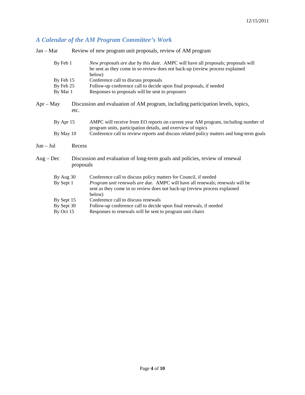## <span id="page-3-0"></span>*A Calendar of the AM Program Committee's Work*

| $Jan - Mar$                           |  | Review of new program unit proposals, review of AM program                                                                                                                                                                              |
|---------------------------------------|--|-----------------------------------------------------------------------------------------------------------------------------------------------------------------------------------------------------------------------------------------|
| By Feb 1                              |  | New proposals are due by this date. AMPC will have all proposals; proposals will<br>be sent as they come in so review does not back-up (review process explained<br>below)                                                              |
| By Feb 15                             |  | Conference call to discuss proposals                                                                                                                                                                                                    |
| By Feb 25                             |  | Follow-up conference call to decide upon final proposals, if needed                                                                                                                                                                     |
| By Mar 1                              |  | Responses to proposals will be sent to proposers                                                                                                                                                                                        |
| $Apr - May$<br>etc.                   |  | Discussion and evaluation of AM program, including participation levels, topics,                                                                                                                                                        |
| By Apr 15                             |  | AMPC will receive from EO reports on current year AM program, including number of<br>program units, participation details, and overview of topics                                                                                       |
| By May 10                             |  | Conference call to review reports and discuss related policy matters and long-term goals                                                                                                                                                |
| $Jun - Jul$<br>Recess                 |  |                                                                                                                                                                                                                                         |
| $Aug - Dec$<br>proposals              |  | Discussion and evaluation of long-term goals and policies, review of renewal                                                                                                                                                            |
| By Aug 30<br>By Sept 1                |  | Conference call to discuss policy matters for Council, if needed<br>Program unit renewals are due. AMPC will have all renewals; renewals will be<br>sent as they come in so review does not back-up (review process explained<br>below) |
| By Sept 15<br>By Sept 30<br>By Oct 15 |  | Conference call to discuss renewals<br>Follow-up conference call to decide upon final renewals, if needed<br>Responses to renewals will be sent to program unit chairs                                                                  |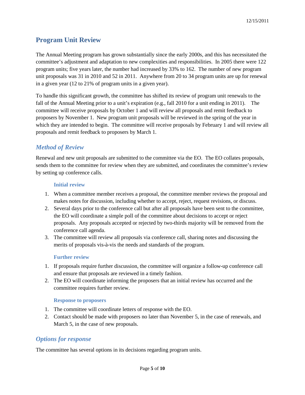## <span id="page-4-0"></span>**Program Unit Review**

The Annual Meeting program has grown substantially since the early 2000s, and this has necessitated the committee's adjustment and adaptation to new complexities and responsibilities. In 2005 there were 122 program units; five years later, the number had increased by 33% to 162. The number of new program unit proposals was 31 in 2010 and 52 in 2011. Anywhere from 20 to 34 program units are up for renewal in a given year (12 to 21% of program units in a given year).

To handle this significant growth, the committee has shifted its review of program unit renewals to the fall of the Annual Meeting prior to a unit's expiration (e.g., fall 2010 for a unit ending in 2011). The committee will receive proposals by October 1 and will review all proposals and remit feedback to proposers by November 1. New program unit proposals will be reviewed in the spring of the year in which they are intended to begin. The committee will receive proposals by February 1 and will review all proposals and remit feedback to proposers by March 1.

## <span id="page-4-1"></span>*Method of Review*

Renewal and new unit proposals are submitted to the committee via the EO. The EO collates proposals, sends them to the committee for review when they are submitted, and coordinates the committee's review by setting up conference calls.

#### <span id="page-4-2"></span>**Initial review**

- 1. When a committee member receives a proposal, the committee member reviews the proposal and makes notes for discussion, including whether to accept, reject, request revisions, or discuss.
- 2. Several days prior to the conference call but after all proposals have been sent to the committee, the EO will coordinate a simple poll of the committee about decisions to accept or reject proposals. Any proposals accepted or rejected by two-thirds majority will be removed from the conference call agenda.
- 3. The committee will review all proposals via conference call, sharing notes and discussing the merits of proposals vis-à-vis the needs and standards of the program.

#### <span id="page-4-3"></span>**Further review**

- 1. If proposals require further discussion, the committee will organize a follow-up conference call and ensure that proposals are reviewed in a timely fashion.
- 2. The EO will coordinate informing the proposers that an initial review has occurred and the committee requires further review.

#### <span id="page-4-4"></span>**Response to proposers**

- 1. The committee will coordinate letters of response with the EO.
- 2. Contact should be made with proposers no later than November 5, in the case of renewals, and March 5, in the case of new proposals.

#### <span id="page-4-5"></span>*Options for response*

The committee has several options in its decisions regarding program units.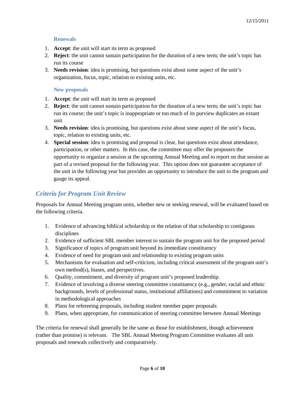#### <span id="page-5-0"></span>**Renewals**

- 1. **Accept**: the unit will start its term as proposed
- 2. **Reject**: the unit cannot sustain participation for the duration of a new term; the unit's topic has run its course
- 3. **Needs revision**: idea is promising, but questions exist about some aspect of the unit's organization, focus, topic, relation to existing units, etc.

#### <span id="page-5-1"></span>**New proposals**

- 1. **Accept**: the unit will start its term as proposed
- 2. **Reject**: the unit cannot sustain participation for the duration of a new term; the unit's topic has run its course; the unit's topic is inappropriate or too much of its purview duplicates an extant unit
- 3. **Needs revision**: idea is promising, but questions exist about some aspect of the unit's focus, topic, relation to existing units, etc.
- 4. **Special session**: idea is promising and proposal is clear, but questions exist about attendance, participation, or other matters. In this case, the committee may offer the proposers the opportunity to organize a session at the upcoming Annual Meeting and to report on that session as part of a revised proposal for the following year. This option does not guarantee acceptance of the unit in the following year but provides an opportunity to introduce the unit to the program and gauge its appeal.

#### <span id="page-5-2"></span>*Criteria for Program Unit Review*

Proposals for Annual Meeting program units, whether new or seeking renewal, will be evaluated based on the following criteria.

- 1. Evidence of advancing biblical scholarship or the relation of that scholarship to contiguous disciplines
- 2. Evidence of sufficient SBL member interest to sustain the program unit for the proposed period
- 3. Significance of topics of program unit beyond its immediate constituency
- 4. Evidence of need for program unit and relationship to existing program units
- 5. Mechanisms for evaluation and self-criticism, including critical assessment of the program unit's own method(s), biases, and perspectives.
- 6. Quality, commitment, and diversity of program unit's proposed leadership.
- 7. Evidence of involving a diverse steering committee constituency (e.g., gender, racial and ethnic backgrounds, levels of professional status, institutional affiliations) and commitment to variation in methodological approaches
- 8. Plans for refereeing proposals, including student member paper proposals
- 9. Plans, when appropriate, for communication of steering committee between Annual Meetings

The criteria for renewal shall generally be the same as those for establishment, though achievement (rather than promise) is relevant. The SBL Annual Meeting Program Committee evaluates all unit proposals and renewals collectively and comparatively.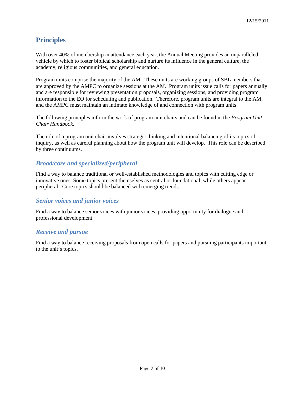## <span id="page-6-0"></span>**Principles**

With over 40% of membership in attendance each year, the Annual Meeting provides an unparalleled vehicle by which to foster biblical scholarship and nurture its influence in the general culture, the academy, religious communities, and general education.

Program units comprise the majority of the AM. These units are working groups of SBL members that are approved by the AMPC to organize sessions at the AM. Program units issue calls for papers annually and are responsible for reviewing presentation proposals, organizing sessions, and providing program information to the EO for scheduling and publication. Therefore, program units are integral to the AM, and the AMPC must maintain an intimate knowledge of and connection with program units.

The following principles inform the work of program unit chairs and can be found in the *Program Unit Chair Handbook*.

The role of a program unit chair involves strategic thinking and intentional balancing of its topics of inquiry, as well as careful planning about how the program unit will develop. This role can be described by three continuums.

#### <span id="page-6-1"></span>*Broad/core and specialized/peripheral*

Find a way to balance traditional or well-established methodologies and topics with cutting edge or innovative ones. Some topics present themselves as central or foundational, while others appear peripheral. Core topics should be balanced with emerging trends.

#### <span id="page-6-2"></span>*Senior voices and junior voices*

Find a way to balance senior voices with junior voices, providing opportunity for dialogue and professional development.

#### <span id="page-6-3"></span>*Receive and pursue*

Find a way to balance receiving proposals from open calls for papers and pursuing participants important to the unit's topics.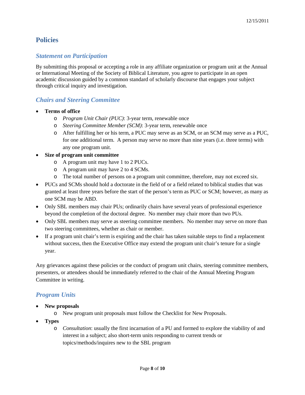## <span id="page-7-0"></span>**Policies**

#### <span id="page-7-1"></span>*Statement on Participation*

By submitting this proposal or accepting a role in any affiliate organization or program unit at the Annual or International Meeting of the Society of Biblical Literature, you agree to participate in an open academic discussion guided by a common standard of scholarly discourse that engages your subject through critical inquiry and investigation.

#### <span id="page-7-2"></span>*Chairs and Steering Committee*

- **Terms of office**
	- o *Program Unit Chair (PUC)*: 3-year term, renewable once
	- o *Steering Committee Member (SCM)*: 3-year term, renewable once
	- o After fulfilling her or his term, a PUC may serve as an SCM, or an SCM may serve as a PUC, for one additional term. A person may serve no more than nine years (i.e. three terms) with any one program unit.
- **Size of program unit committee**
	- o A program unit may have 1 to 2 PUCs.
	- o A program unit may have 2 to 4 SCMs.
	- o The total number of persons on a program unit committee, therefore, may not exceed six.
- PUCs and SCMs should hold a doctorate in the field of or a field related to biblical studies that was granted at least three years before the start of the person's term as PUC or SCM; however, as many as one SCM may be ABD.
- Only SBL members may chair PUs; ordinarily chairs have several years of professional experience beyond the completion of the doctoral degree. No member may chair more than two PUs.
- Only SBL members may serve as steering committee members. No member may serve on more than two steering committees, whether as chair or member.
- If a program unit chair's term is expiring and the chair has taken suitable steps to find a replacement without success, then the Executive Office may extend the program unit chair's tenure for a single year.

Any grievances against these policies or the conduct of program unit chairs, steering committee members, presenters, or attendees should be immediately referred to the chair of the Annual Meeting Program Committee in writing.

#### <span id="page-7-3"></span>*Program Units*

- **New proposals**
	- o New program unit proposals must follow the Checklist for New Proposals.
- **Types**
	- o *Consultation*: usually the first incarnation of a PU and formed to explore the viability of and interest in a subject; also short-term units responding to current trends or topics/methods/inquires new to the SBL program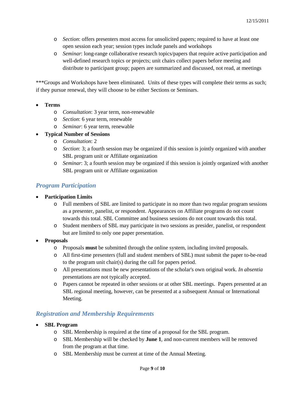- o *Section*: offers presenters most access for unsolicited papers; required to have at least one open session each year; session types include panels and workshops
- o *Seminar*: long-range collaborative research topics/papers that require active participation and well-defined research topics or projects; unit chairs collect papers before meeting and distribute to participant group; papers are summarized and discussed, not read, at meetings

\*\*\*Groups and Workshops have been eliminated. Units of these types will complete their terms as such; if they pursue renewal, they will choose to be either Sections or Seminars.

- **Terms**
	- o *Consultation*: 3 year term, non-renewable
	- o *Section*: 6 year term, renewable
	- o *Seminar*: 6 year term, renewable

#### • **Typical Number of Sessions**

- o *Consultation*: 2
- o *Section*: 3; a fourth session may be organized if this session is jointly organized with another SBL program unit or Affiliate organization
- o *Seminar*: 3; a fourth session may be organized if this session is jointly organized with another SBL program unit or Affiliate organization

#### <span id="page-8-0"></span>*Program Participation*

- **Participation Limits**
	- o Full members of SBL are limited to participate in no more than two regular program sessions as a presenter, panelist, or respondent. Appearances on Affiliate programs do not count towards this total. SBL Committee and business sessions do not count towards this total.
	- o Student members of SBL may participate in two sessions as presider, panelist, or respondent but are limited to only one paper presentation.
- <span id="page-8-1"></span>• **Proposals**
	- o Proposals **must** be submitted through the online system, including invited proposals.
	- o All first-time presenters (full and student members of SBL) must submit the paper to-be-read to the program unit chair(s) during the call for papers period.
	- o All presentations must be new presentations of the scholar's own original work. *In absentia* presentations are not typically accepted.
	- o Papers cannot be repeated in other sessions or at other SBL meetings. Papers presented at an SBL regional meeting, however, can be presented at a subsequent Annual or International Meeting.

### *Registration and Membership Requirements*

- **SBL Program**
	- o SBL Membership is required at the time of a proposal for the SBL program.
	- o SBL Membership will be checked by **June 1**, and non-current members will be removed from the program at that time.
	- o SBL Membership must be current at time of the Annual Meeting.